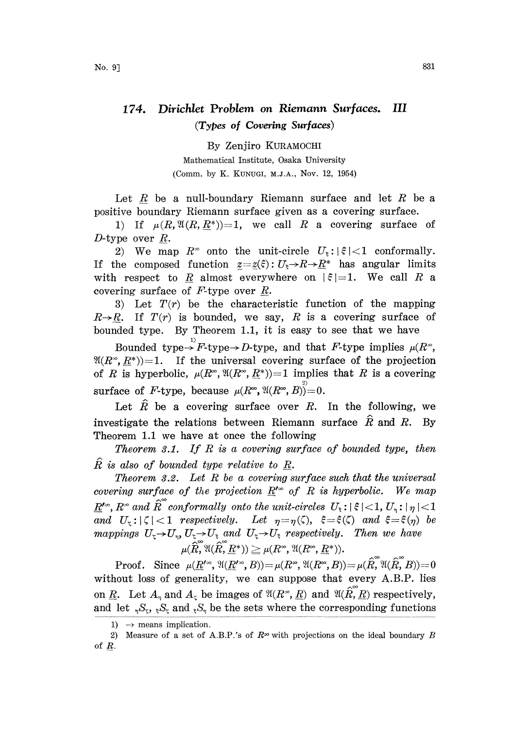## 174. Dirichlet Problem on Riemann Surfaces. III (Types of Covering Surfaces)

By Zenjiro KURAMOCHI Mathematical Institute, Osaka University (Comm. by K. KUNUGI, M.J.A., Nov. 12, 1954)

Let  $R$  be a null-boundary Riemann surface and let  $R$  be a positive boundary Riemann surface given as a covering surface.

1) If  $\mu(R,\mathfrak{A}(R,R^*))=1$ , we call R a covering surface of D-type over  $R$ .

2) We map  $R^{\infty}$  onto the unit-circle  $U_{\xi}: |\xi| < 1$  conformally. If the composed function  $z=z(\xi): U_{\xi} \to R \to R^*$  has angular limits with respect to R almost everywhere on  $|\xi|=1$ . We call R a covering surface of  $F$ -type over  $R$ .

3) Let  $T(r)$  be the characteristic function of the mapping  $R\rightarrow R$ . If  $T(r)$  is bounded, we say, R is a covering surface of bounded type. By Theorem 1.1, it is easy to see that we have

Bounded type- $\rightarrow$  F-type- $\rightarrow$  D-type, and that F-type implies  $\mu(R^{\infty})$  $\mathfrak{A}(R^{\infty}, R^*)=1$ . If the universal covering surface of the projection of R is hyperbolic,  $\mu(R^{\infty}, \mathfrak{A}(R^{\infty}, \underline{R}^*))=1$  implies that R is a covering surface of F-type, because  $\mu(R^{\infty}, \mathfrak{A}(R^{\infty}, B))=0.$ 

Let  $\hat{R}$  be a covering surface over R. In the following, we investigate the relations between Riemann surface  $\hat{R}$  and  $R$ . By Theorem 1.1 we have at once the following

Theorem 3.1. If  $R$  is a covering surface of bounded type, then  $R$  is also of bounded type relative to  $R$ .

Theorem 3.2. Let  $R$  be a covering surface such that the universal covering surface of the projection  $\underline{R}^{\prime\infty}$  of R is hyperbolic. We map  $R'^{\infty}, R^{\infty}$  and  ${\widehat R}^{\infty}$  conformally onto the unit-circles  $U_\varepsilon$ :  $|\, \varepsilon\,|<$  1,  $U_{\gamma}$ :  $|\, \eta\,|<$  1 and  $U_{\tau}: |\zeta| < 1$  respectively. Let  $\eta = \eta(\zeta)$ ,  $\xi = \xi(\zeta)$  and  $\xi = \xi(\eta)$  be  $\eta = \eta(\zeta)$ ,  $\xi = \xi(\zeta)$  and  $\xi = \xi(\eta)$  be<br>  $U_{\xi}$  respectively. Then we have<br>  $R^{\infty}$ ,  $\mathfrak{A}(R^{\infty}, \underline{R}^*)$ ). mappings  $U_z \rightarrow U_\eta$ ,  $U_z \rightarrow U_z$  and  $U_z \rightarrow U_z$  respectively. Then we have  $\mu(\widehat R,^{\infty} {\mathfrak A}(\widehat R, \underline R^*)) \geq \mu(R^{\infty}, {\mathfrak A}(R^{\infty}, \underline R^*)).$ 

Proof. Since  $\mu(\underline{R}'^{\infty}, \mathfrak{A}(\underline{R}^{\infty}, B))=\mu(R^{\infty}, \mathfrak{A}(R^{\infty}, B))=\mu(\hat{R}, \mathfrak{A}(\hat{R}, B))=0$ without loss of generality, we can suppose that every A.B.P. lies on <u>R</u>. Let  $A_n$  and  $A_\zeta$  be images of  $\mathfrak{A}(R^*, R)$  and  $\mathfrak{A}(\hat{R}, R)$  respectively, and let  ${}_{\eta}S_{\zeta}$ ,  ${}_{\xi}S_{\zeta}$  and  ${}_{\xi}S_{\eta}$  be the sets where the corresponding functions

<sup>1)</sup>  $\rightarrow$  means implication.

<sup>1)</sup>  $\rightarrow$  means implication.<br>2) Measure of a set of A.B.P.'s of  $R^{\infty}$  with projections on the ideal boundary B of R.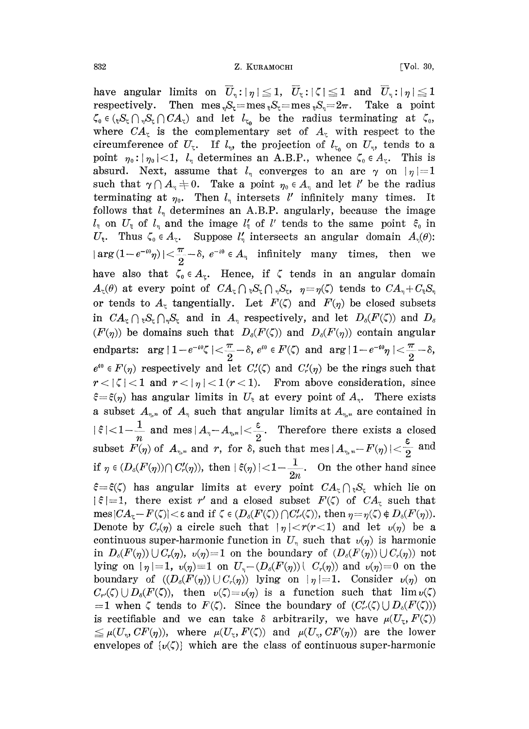have angular limits on  $\overline{U}_\eta: |\eta| \leq 1$ ,  $\overline{U}_\eta: |\zeta| \leq 1$  and  $\overline{U}_\eta: |\eta| \leq 1$ respectively. Then mes<sub>v</sub>S<sub>c</sub>=mes<sub>s</sub>S<sub>c</sub>=mes<sub>s</sub>S<sub>n</sub>=2 $\pi$ . Take a point  $\zeta_0 \in ({}_{\mathfrak{b}}S_{\mathfrak{c}} \cap {}_{\gamma}S_{\mathfrak{c}} \cap CA_{\mathfrak{c}})$  and let  $l_{\zeta_0}$  be the radius terminating at  $\zeta_0$ , where  $CA_{\zeta}$  is the complementary set of  $A_{\zeta}$  with respect to the circumference of  $U_{\zeta}$ . If  $l_{\eta}$ , the projection of  $l_{\zeta_0}$  on  $U_{\eta}$ , tends to a point  $\eta_0: |\eta_0|<1$ ,  $l_{\eta}$  determines an A.B.P., whence  $\zeta_0 \in A_{\zeta}$ . This is absurd. Next, assume that  $l_{\eta}$  converges to an arc  $\gamma$  on  $|\eta|=1$ such that  $\gamma \cap A_n \neq 0$ . Take a point  $\eta_0 \in A_n$  and let l' be the radius terminating at  $\eta_0$ . Then  $l_{\eta}$  intersets l' infinitely many times. It follows that  $l_n$  determines an A.B.P. angularly, because the image  $l_{\xi}$  on  $U_{\xi}$  of  $l_{\eta}$  and the image  $l'_{\xi}$  of l' tends to the same point  $\xi_{0}$  in  $U_{\xi}$ . Thus  $\zeta_0 \in A_{\zeta}$ . Suppose  $l'_\eta$  intersects an angular domain  $A_\eta(\theta)$ :  $|\arg(1-e^{-i\theta}\eta)|<\frac{\pi}{2}-\delta, e^{-i\theta}\in A_{\eta}$  infinitely many times, then we have also that  $\zeta_0 \in A_{\zeta}$ . Hence, if  $\zeta$  tends in an angular domain  $A_{\zeta}(\theta)$  at every point of  $CA_{\zeta} \cap {}_{\zeta}S_{\zeta} \cap {}_{\eta}S_{\zeta}$ ,  $\eta = \eta(\zeta)$  tends to  $CA_{\eta} + C_{\zeta}S_{\eta}$ or tends to  $A_{\zeta}$  tangentially. Let  $F(\zeta)$  and  $F(\eta)$  be closed subsets in  $CA_{\zeta} \cap {}_{\zeta}S_{\zeta} \cap {}_{\eta}S_{\zeta}$  and in  $A_{\eta}$  respectively, and let  $D_{\delta}(F(\zeta))$  and  $D_{\delta}$  $(F(\eta))$  be domains such that  $D_{\delta}(F(\zeta))$  and  $D_{\delta}(F(\eta))$  contain angular  $\text{endparts: } \arg |1 - e^{-i \theta} \zeta| < \frac{\pi}{2} - \delta, e^{i \theta} \in F(\zeta) \text{ and } \arg |1 - e^{-i \theta} \eta| < \frac{\pi}{2} - \delta,$  $\frac{1}{2} - \delta$ ,  $e^{i\theta} \in$ <br>
let  $C'_r(\zeta)$ <br>  $(r < 1)$ . l<br>
in  $U_{\zeta}$  at  $e^{i\theta} \in F(\eta)$  respectively and let  $C_r(\zeta)$  and  $C_r(\eta)$  be the rings such that  $r<|\zeta|<1$  and  $r<|\eta|<1$  ( $r<1$ ). From above consideration, since  $\xi = \xi(\eta)$  has angular limits in  $U_{\xi}$  at every point of  $A_{\eta}$ . There exists a subset  $A_{\eta,n}$  of  $A_{\eta}$  such that angular limits at  $A_{\eta,n}$  are contained in  $|\xi| < 1 - \frac{1}{n}$  and mes  $|A_{\eta} - A_{\eta, n}| < \frac{\varepsilon}{2}$ . Therefore there exists a closed subset  $F(\eta)$  of  $A_{\eta,n}$  and r, for  $\delta$ , such that mes  $|A_{\eta,n}-F(\eta)|<\frac{\varepsilon}{2}$  and if  $\eta \in (D_{\delta}(F(\eta)) \cap C'_r(\eta))$ , then  $|\xi(\eta)| < 1 - \frac{1}{2n}$ . On the other hand since  $\xi = \xi(\zeta)$  has angular limits at every point  $CA_{\zeta} \cap \zeta_{\zeta}$  which lie on  $|\xi|=1$ , there exist r' and a closed subset  $F(\zeta)$  of  $CA_{\zeta}$  such that mes  $|CA_{\zeta}-F(\zeta)|<\varepsilon$  and if  $\zeta\in (D_{\delta}(F(\zeta))\cap C'_{r}(\zeta))$ , then  $\eta=\eta(\zeta)\notin D_{\delta}(F(\eta)).$ Denote by  $C_r(\eta)$  a circle such that  $|\eta| < r(r<1)$  and let  $v(\eta)$  be a continuous super-harmonic function in  $U_n$  such that  $v(\eta)$  is harmonic in  $D_{\delta}(F(\eta))\cup C_{r}(\eta)$ ,  $v(\eta)=1$  on the boundary of  $(D_{\delta}(F(\eta))\cup C_{r}(\eta))$  not lying on  $|\eta|=1$ ,  $v(\eta)=1$  on  $U_{\eta}-(D_{\delta}(F(\eta)))$   $C_{\eta}(\eta)$  and  $v(\eta)=0$  on the boundary of  $((D_{\delta}(F(\eta))\cup C_{r}(\eta))$  lying on  $|\eta| = 1$ . Consider  $v(\eta)$  on  $C_{r}(\zeta) \cup D_{\delta}(F(\zeta))$ , then  $v(\zeta) = v(\eta)$  is a function such that  $\lim v(\zeta)$ =1 when  $\zeta$  tends to  $F(\zeta)$ . Since the boundary of  $(C'_r(\zeta) \cup D_\delta(F(\zeta)))$ is rectifiable and we can take  $\delta$  arbitrarily, we have  $\mu(U_{\zeta},F(\zeta))$  $\leq \mu(U_n, CF(\eta))$ , where  $\mu(U_{\tau}, F(\zeta))$  and  $\mu(U_n, CF(\eta))$  are the lower envelopes of  $\{v(\zeta)\}\)$  which are the class of continuous super-harmonic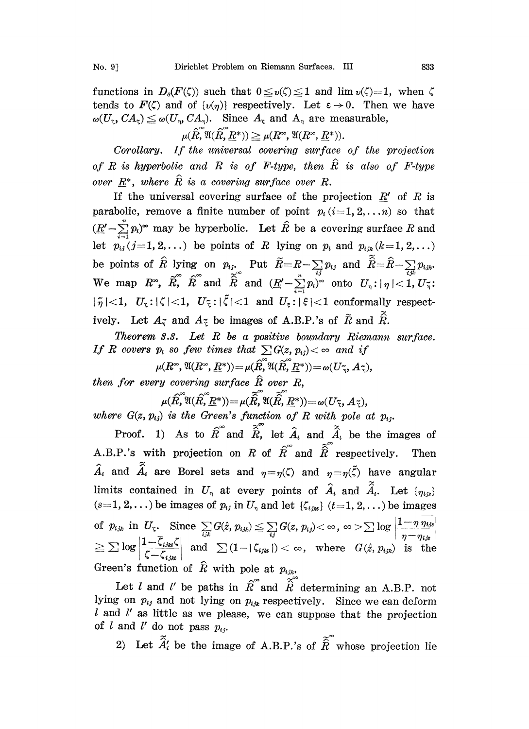functions in  $D_{\delta}(F(\zeta))$  such that  $0 \le v(\zeta) \le 1$  and  $\lim v(\zeta)=1$ , when  $\zeta$ tends to  $F(\zeta)$  and of  $\{v(\eta)\}\)$  respectively. Let  $\varepsilon \to 0$ . Then we have  $\omega(U_{\tau}, CA_{\tau}) \leq \omega(U_{\tau}, CA_{\tau}).$  Since  $A_{\tau}$  and  $A_{\tau}$  are measurable,

 $\mu(\hat{R}, \mathfrak{A}(\hat{R}, R^*)) \geq \mu(R^*, \mathfrak{A}(R^*, R^*)).$ 

Corollary. If the universal covering surface of the projection of R is hyperbolic and R is of F-type, then  $\hat{R}$  is also of F-type over  $R^*$ , where  $\hat{R}$  is a covering surface over R.

If the universal covering surface of the projection  $R'$  of R is parabolic, remove a finite number of point  $p_i$  (i=1, 2,...n) so that  $(\underline{R'}-\sum_{i=1}^{n}p_i)^{\infty}$  may be hyperbolic. Let  $\hat{R}$  be a covering surface R and let  $p_{ij}(j=1, 2, \ldots)$  be points of R lying on  $p_i$  and  $p_{ijk}(k=1, 2, \ldots)$ be points of  $\hat{R}$  lying on  $p_{ij}$ . Put  $\widetilde{R}\!=\!R\!-\!\sum\limits_{i}p_{ij}$  and  $\widehat{\hat{R}}\!=\!\widehat{R}\!-\!1$ We map  $R^{\infty}$ ,  $\widetilde{R}^{\infty}$  and  $\widetilde{\hat{R}}$  and  $(\underline{R}'-\sum_{i=1}^{n}p_i)^{\infty}$  onto  $U_{\eta}: |\eta|<1$ ,  $U_{\eta}$ ;  $|\tilde{\eta}| < 1$ ,  $U_{\zeta}: |\zeta| < 1$ ,  $U_{\zeta}: |\tilde{\zeta}| < 1$  and  $U_{\zeta}: |\tilde{\zeta}| < 1$  conformally respectively. Let  $A_{\tilde{n}}$  and  $A_{\tilde{k}}$  be images of A.B.P.'s of  $\tilde{R}$  and  $\tilde{R}$ .

Theorem  $3.3.$  Let  $R$  be a positive boundary Riemann surface. If R covers  $p_i$  so few times that  $\sum G(z, p_{ij}) < \infty$  and if

$$
\mu(R^{\infty}, \mathfrak{A}(R^{\infty}, \underline{R}^*)) = \mu(\widehat{R}, \mathfrak{A}(\widetilde{R}, \underline{R}^*)) = \omega(U_{\widetilde{\eta}}, A_{\widetilde{\eta}}),
$$
  
then for every covering surface  $\widehat{R}$  over R.

$$
\mu(\widehat{R}, \mathfrak{A}(\widehat{R}, \widehat{R}^*)) = \mu(\widehat{R}, \mathfrak{A}(\widehat{R}, \underline{R}^*)) = \omega(U_{\widetilde{R}}, A_{\widetilde{R}}),
$$

where  $G(z, p_{ij})$  is the Green's function of R with pole at  $p_{ij}$ .

Proof. 1) As to  $\hat{R}^{\infty}$  and  $\tilde{\hat{R}}$ , let  $\hat{A}_i$  and  $\tilde{\hat{A}}_i$  be the images of A.B.P.'s with projection on R of  $\hat{R}$  and  $\hat{\hat{R}}$  respectively. Then  $\hat{A}_i$  and  $\tilde{A}_i$  are Borel sets and  $\eta = \eta(\zeta)$  and  $\eta = \eta(\tilde{\zeta})$  have angular limits contained in  $U_{\eta}$  at every points of  $\hat{A}_i$  and  $\tilde{\hat{A}}_i$ . Let  $\{\eta_{i,s}\}$  $(s=1, 2,...)$  be images of  $p_{ij}$  in  $U_{\eta}$  and let  $\{\zeta_{ijk}\}\ (t=1, 2,...)$  be images of  $p_{ijk}$  in  $U_z$ . Since  $\sum_{i,j} G(\hat{z}, p_{ijk}) \leq \sum_{i,j} G(z, p_{ij}) < \infty$ ,  $\infty > \sum \log$  $\leq \sum \log \left| \frac{1-\overline{\zeta}_{ijk}\zeta}{\overline{\zeta}_{ijk}} \right| \;\; \text{and} \;\; \sum \left(1-|\zeta_{ijk}| \right) < \infty, \;\; \text{where} \;\; \; G(\hat{z}, p_{ijk}) \;\; \text{is} \;\; \text{the}$ Green's function of  $\hat{R}$  with pole at  $p_{ijk}$ .

Let l and l' be paths in  $\hat{R}$  and  $\tilde{\hat{R}}$  determining an A.B.P. not lying on  $p_{ij}$  and not lying on  $p_{ijk}$  respectively. Since we can deform  $l$  and  $l'$  as little as we please, we can suppose that the projection of l and l' do not pass  $p_{ij}$ .

2) Let  $\tilde{A}'_i$  be the image of A.B.P.'s of  $\tilde{R}$  whose projection lie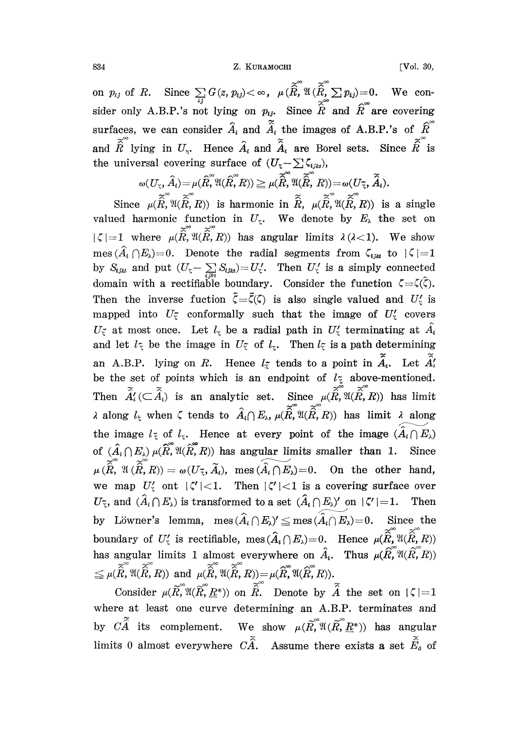834 **Z. KURAMOCHI** [Vol. 30,

on  $p_{ij}$  of R. Since  $\sum_{ij} G(z, p_{ij}) < \infty$ ,  $\mu(\hat{\widetilde{R}}, \mathfrak{A}(\hat{\widetilde{R}}, \sum_{i} p_{ij})=0$ . We consider only A.B.P.'s not lying on  $p_{ij}$ . Since  $\tilde{\hat{R}}$  and  $\hat{R}$  are covering surfaces, we can consider  $\hat{A}_i$  and  $\tilde{\hat{A}}_i$  the images of A.B.P.'s of  $\hat{R}^{\circ}$ and  $\tilde{\hat{R}}$  lying in  $U_{\gamma}$ . Hence  $\hat{A}_{i}$  and  $\tilde{\hat{A}}_{i}$  are Borel sets. Since  $\tilde{\hat{R}}$  is the universal covering surface of  $(U_{\zeta}-\sum \zeta_{i,jks}),$ 

$$
\omega(U_{\widetilde{\varsigma}},\hat{A}_i)\hspace{-0.5ex}=\hspace{-0.5ex}\mu(\widehat{R},^\circ\mathfrak{A}(\widehat{R},R))\hspace{-0.5ex}\geq\hspace{-0.5ex}\mu(\widetilde{\widehat{R}},^\circ\mathfrak{A}(\widehat{\widetilde{R}},R))\hspace{-0.5ex}=\hspace{-0.5ex}\omega(U_{\widetilde{\varsigma}},\widetilde{A}_i).
$$

Since  $\mu(R, \mathfrak{A}(R,R))$  is harmonic in R,  $\mu(R, \mathfrak{A}(R,R))$  is a single valued harmonic function in  $U_{\zeta}$ . We denote by  $E_{\lambda}$  the set on  $|\zeta| = 1$  where  $\mu(\tilde{\hat{R}}, \mathfrak{A}(\tilde{\hat{R}}, R))$  has angular limits  $\lambda(\lambda < 1)$ . We show  $mes (\hat{A}_i \cap E_\lambda)=0$ . Denote the radial segments from  $\zeta_{i,jkl}$  to  $|\zeta|=1$ by  $S_{ijkl}$  and put  $(U_{\zeta}-\sum_{jik}S_{ijkl})=U'_{\zeta}$ . Then  $U'_{\zeta}$  is a simply connected domain with a rectifiable boundary. Consider the function Then the inverse fuction  $\tilde{\zeta}=\tilde{\zeta}(\zeta)$  is also single valued and  $U_{\zeta}$  is mapped into  $U_{\zeta}$  conformally such that the image of  $U_{\zeta}$  covers  $U_{\zeta}$  at most once. Let  $l_{\zeta}$  be a radial path in  $U'_{\zeta}$  terminating at  $\hat{A}_{i}$ and let  $l_{\tilde{\tau}}$  be the image in  $U_{\tilde{\tau}}$  of  $l_{\tau}$ . Then  $l_{\tilde{\tau}}$  is a path determining an A.B.P. lying on R. Hence  $l_{\tilde{z}}$  tends to a point in  $\tilde{A}_i$ . Let  $\tilde{A}_i'$ be the set of points which is an endpoint of  $l_{\tilde{\tau}}$  above-mentioned. Then  $\tilde{A}'_i(\subset \tilde{A}_i)$  is an analytic set. Since  $\mu(\tilde{R},\mathfrak{A}(\tilde{R},R))$  has limit  $\lambda$  along  $l_{\xi}$  when  $\zeta$  tends to  $\hat{A}_{i} \cap E_{\lambda}$ ,  $\mu(\tilde{\hat{R}}, \tilde{\hat{R}}, R)$  has limit  $\lambda$  along the image  $l_{\xi}$  of  $l_{\xi}$ . Hence at every point of the image  $(\widetilde{A_i \cap E_{\lambda}})$ of  $(\hat{A}_i \cap E_\lambda) \mu(\hat{R}, \mathfrak{A}(\hat{R}, R))$  has angular limits smaller than 1. Since  $\mu\,(\widetilde{\widehat{R}},\,^{\infty}\mathfrak{A}\,(\widetilde{\widehat{R}},R))=\omega(U_{\,\widetilde{\cdot}\hspace*{-0.1cm}},\,\widetilde{A_i}),\;\;\textrm{mes}\,(\widetilde{\widehat{A_i}\cap E_{\lambda}})\!=\!0.\quad \textrm{On the other hand,}$ we map  $U'_z$  ont  $|\zeta'| < 1$ . Then  $|\zeta'| < 1$  is a covering surface over  $U_{\tilde{\tau}}$ , and  $(\hat{A}_i \cap E_{\lambda})$  is transformed to a set  $(\hat{A}_i \cap E_{\lambda})'$  on  $|\zeta'|=1$ . Then by Löwner's lemma,  $\text{mes } (\widehat{A}_i \cap E_\lambda)' \leq \text{mes } (\widehat{A}_i \cap E_\lambda)=0.$  Since the boundary of  $U_5'$  is rectifiable, mes $(\widehat{A}_i \cap E_\lambda) = 0$ . Hence  $\mu(\widetilde{\widehat{R}}, \mathfrak{A}(\widehat{\widehat{R}}, R))$ <br>has angular limits 1 almost everywhere on  $\widehat{A}_i$ . Thus  $\mu(\widehat{R}, \mathfrak{A}(\widehat{R}, R))$ has angular limits 1 almost everywhere on  $\hat{A}_i$ . Thus  $\mu(\hat{R}, \hat{R}, \hat{R})$  $\leq \mu(\widehat{\widetilde{R}},\mathfrak{A}(\widehat{\widetilde{R}},R))\ \ \text{and}\ \ \mu(\widehat{\widetilde{R}},\mathfrak{A}(\widehat{\widetilde{R}},R))\!=\!\mu(\widehat{R},\mathfrak{A}(\widehat{R},R)).$ 

Consider  $\mu(\widetilde{R}, \mathfrak{A}(\widetilde{R}, R^*))$  on  $\widetilde{\widehat{R}}$ . Denote by  $\widetilde{\widehat{A}}$  the set on  $|\zeta| = 1$ where at least one curve determining an A.B.P. terminates and by  $C\tilde{A}$  its complement. We show  $\mu(\tilde{R}, \tilde{N}(\tilde{R}, \tilde{R}^*))$  has angular limits 0 almost everywhere  $C\widetilde{A}$ . Assume there exists a set  $\widetilde{E}_s$  of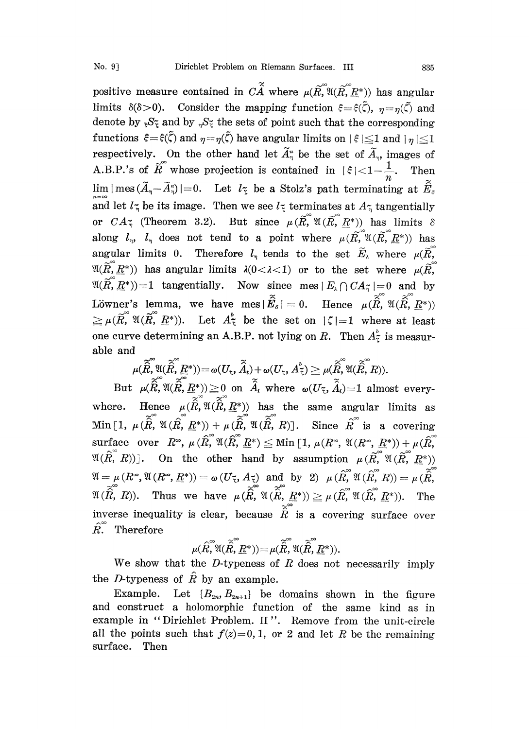positive measure contained in  $C\widetilde{A}$  where  $\mu(\widetilde{R}, \mathfrak{A}(R, R^*))$  has angular limits  $\delta(\delta>0)$ . Consider the mapping function  $\xi = \xi(\tilde{\zeta})$ ,  $\eta = \eta(\tilde{\zeta})$  and denote by  $\mathbb{R}S^2$  and by  $\mathbb{R}S^2$  the sets of point such that the corresponding functions  $\xi = \xi(\tilde{\zeta})$  and  $\eta = \eta(\tilde{\zeta})$  have angular limits on  $|\xi| \leq 1$  and  $|\eta| \leq 1$ respectively. On the other hand let  $\widetilde{A}_{\eta}^{n}$  be the set of  $\widetilde{A}_{\eta}$ , images of A.B.P.'s of  $\widetilde{R}$  whose projection is contained in  $|\xi| < 1 - \frac{1}{n}$ . Then  $\lim |\text{mes }(\widetilde{A}_\eta-\widetilde{A}_\eta^n)|=0.$  Let  $l_{\tilde{\tau}}$  be a Stolz's path terminating at  $\widetilde{\widetilde{E}}_s$ and let  $l_{\tilde{\tau}}$  be its image. Then we see  $l_{\tilde{\tau}}$  terminates at  $A_{\tilde{\tau}}$  tangentially or  $CA_{\tilde{\eta}}$  (Theorem 3.2). But since  $\mu(R, \tilde{R}, \mathfrak{A}(R, R^*))$  has limits  $\delta$ along  $l_n$ ,  $l_n$  does not tend to a point where  $\mu(R, \mathbb{R}^N)(R, \mathbb{R}^N)$  has angular limits 0. Therefore  $l_{\eta}$  tends to the set  $\widetilde{E}_{\lambda}$  where  $\mu(\widetilde{R}, \widetilde{R})$  $\mathfrak{A}(\widetilde{R},\underline{R}^*))$  has angular limits  $\lambda(0<\lambda<1)$  or to the set where  $\mu(\widetilde{R},\widetilde{R})$  $\mathfrak{A}(\widetilde{R}, \underline{R}^*))=1$  tangentially. Now since mes  $|E_{\lambda}\bigcap CA_{\widetilde{h}}|=0$  and by Löwner's lemma, we have  $\text{mes } |\vec{E}_s| = 0$ . Hence  $\mu(\hat{R}, \mathfrak{A}(\hat{R}, \underline{R}^*))$  $\geq \mu(\tilde{R}, \mathfrak{A}(\tilde{R}, \underline{R}^*))$ . Let  $A_{\tilde{A}}^b$  be the set on  $|\zeta|=1$  where at least one curve determining an A.B.P. not lying on R. Then  $A_{\tilde{z}}^{\tilde{b}}$  is measurable and

$$
\mu(\widetilde{\widehat{R}},\mathfrak{A}(\widetilde{\widehat{R}},\underline{R}^*))\!=\!\omega(U_\mathfrak{r},\widetilde{\widehat{A}}_\iota)\!+\!\omega(U_\mathfrak{r},A^{\flat}_{\widetilde{\mathfrak{r}}})\geq \mu(\widetilde{\widehat{R}},\mathfrak{A}(\widetilde{\widehat{R}},R)).
$$

But  $\mu(\hat{R}, \mathfrak{A}(\hat{R}, \underline{R}^*)) \ge 0$  on  $\hat{A}_i$  where  $\omega(U_{\tilde{\tau}}, \hat{A}_i)=1$  almost everywhere. Hence  $\mu(R,\mathfrak{A}(R,\underline{R}^*))$  has the same angular limits as  $\text{Min} \left[1, \ \mu\,(\hat{R},\ \mathfrak{A}\,(\hat{R},\ \underline{R}^*)) + \mu\,(\hat{R},\ \mathfrak{A}\,(\hat{R},\ R) \right].$  Since  $\hat{R}$  is a covering  $\text{surface over}\quad R^\infty,\ \mu\, (\hat R,\,^\infty\mathfrak A(\hat R,\, \underline R^*) \leq \text{Min}\ [\,1,\, \mu(R^\infty,\, \mathfrak A(R^\infty,\, \underline R^*)) + \mu(\hat R,\,$  $\mathfrak{A}(R, R)$ ]. On the other hand by assumption  $\mu(R, \mathfrak{A}(R, R^*))$  $\mathfrak{A}=\mu\left(R^{\infty},\mathfrak{A}\left(R^{\infty},\underline{R}^{*}\right)\right)=\omega\left(U_{\widetilde{\tau}},A_{\widetilde{\tau}}\right)\,\,\,\text{and}\,\,\,\,\text{by}\,\,\,\,\text{2)}\,\,\,\,\mu\left(\overset{\sim}{R},^{\infty}\mathfrak{A}\left(\overset{\sim}{R},R\right)\right)=\mu\left(\overset{\sim}{R},\right)$  $\mathfrak{A}(\widetilde{\hat{R}}, R)$ ). Thus we have  $\mu (\widetilde{\hat{R}}, \mathfrak{A}(\widetilde{\hat{R}}, \underline{R}^*)) \geq \mu (\hat{R}, \mathfrak{A}(\hat{R}, \underline{R}^*)).$  The inverse inequality is clear, because  $\tilde{\hat{R}}$  is a covering surface over  $\hat{R}^{\infty}$  Therefore

$$
\mu(\widehat{R}, \widehat{A}(\widehat{R}, \underline{R}^*)) = \mu(\widehat{\widetilde{R}}, \widehat{A}(\widehat{R}, \underline{R}^*)).
$$

We show that the  $D$ -typeness of  $R$  does not necessarily imply the D-typeness of  $\hat{R}$  by an example.

Example. Let  $\{B_{2n}, B_{2n+1}\}\$  be domains shown in the figure and construct a holomorphic function of the same kind as in example in "Dirichlet Problem. II". Remove from the unit-circle all the points such that  $f(z)=0, 1$ , or 2 and let R be the remaining surface. Then